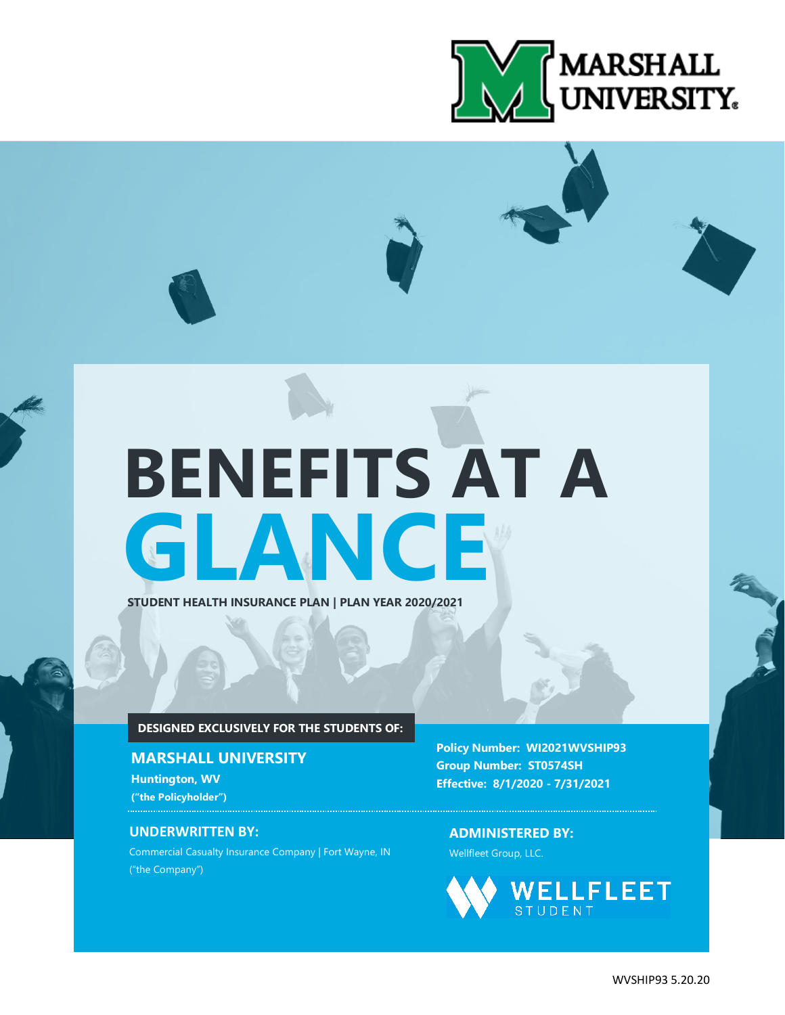

# **GLANCE BENEFITS AT A**

**STUDENT HEALTH INSURANCE PLAN | PLAN YEAR 2020/2021**

## **DESIGNED EXCLUSIVELY FOR THE STUDENTS OF:**

## **MARSHALL UNIVERSITY**

**Huntington, WV ("the Policyholder")**

## **UNDERWRITTEN BY:**

Commercial Casualty Insurance Company | Fort Wayne, IN ("the Company")

**Policy Number: WI2021WVSHIP93 Group Number: ST0574SH Effective: 8/1/2020 - 7/31/2021**

**ADMINISTERED BY:** Wellfleet Group, LLC.



WVSHIP93 5.20.20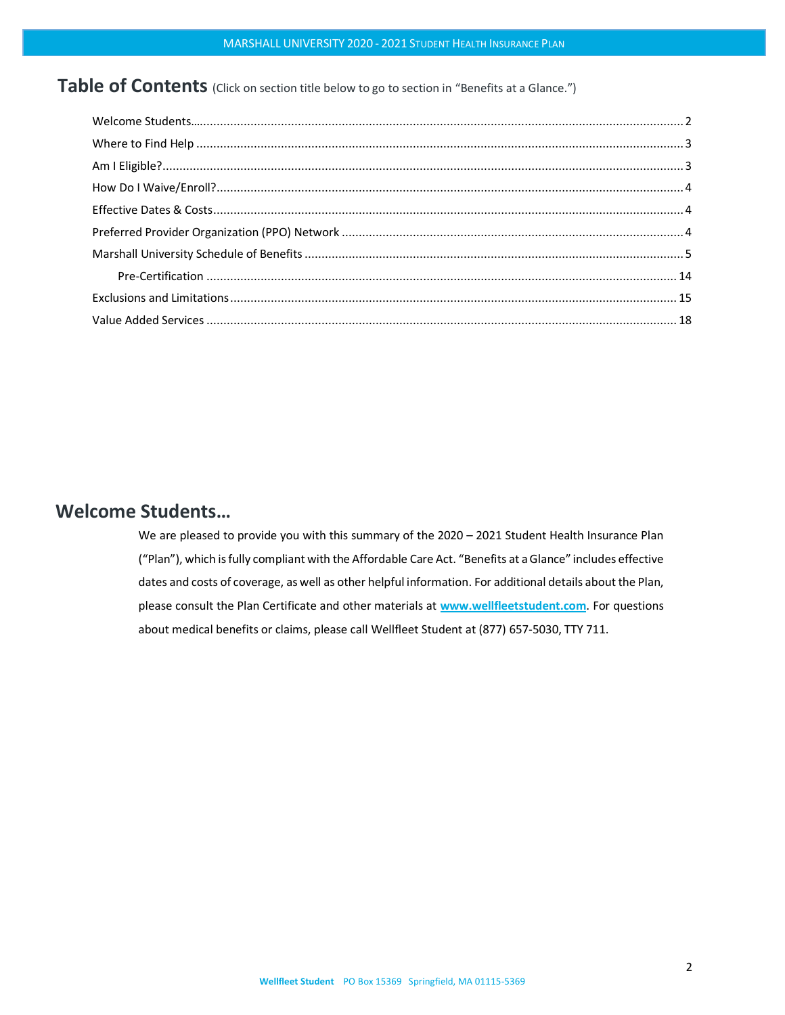Table of Contents (Click on section title below to go to section in "Benefits at a Glance.")

# <span id="page-1-0"></span>**Welcome Students…**

We are pleased to provide you with this summary of the 2020 – 2021 Student Health Insurance Plan ("Plan"), which is fully compliant with the Affordable Care Act. "Benefits at aGlance" includes effective dates and costs of coverage, as well as other helpful information. For additional details about the Plan, please consult the Plan Certificate and other materials at **[www.wellfleetstudent.com](http://www.chpstudenthealth.com/)**. For questions about medical benefits or claims, please call Wellfleet Student at (877) 657-5030, TTY 711.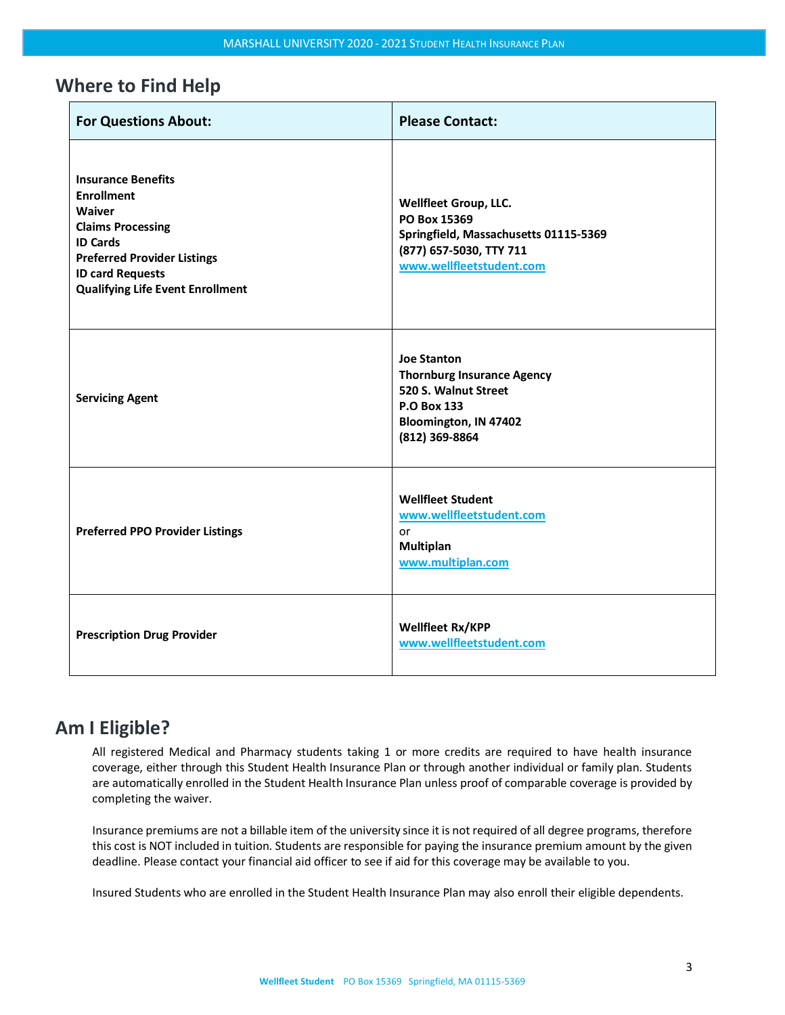# <span id="page-2-0"></span>**Where to Find Help**

| <b>For Questions About:</b>                                                                                                                                                                                                | <b>Please Contact:</b>                                                                                                                           |
|----------------------------------------------------------------------------------------------------------------------------------------------------------------------------------------------------------------------------|--------------------------------------------------------------------------------------------------------------------------------------------------|
| <b>Insurance Benefits</b><br><b>Enrollment</b><br><b>Waiver</b><br><b>Claims Processing</b><br><b>ID Cards</b><br><b>Preferred Provider Listings</b><br><b>ID card Requests</b><br><b>Qualifying Life Event Enrollment</b> | <b>Wellfleet Group, LLC.</b><br>PO Box 15369<br>Springfield, Massachusetts 01115-5369<br>(877) 657-5030, TTY 711<br>www.wellfleetstudent.com     |
| <b>Servicing Agent</b>                                                                                                                                                                                                     | <b>Joe Stanton</b><br><b>Thornburg Insurance Agency</b><br>520 S. Walnut Street<br><b>P.O Box 133</b><br>Bloomington, IN 47402<br>(812) 369-8864 |
| <b>Preferred PPO Provider Listings</b>                                                                                                                                                                                     | <b>Wellfleet Student</b><br>www.wellfleetstudent.com<br>or<br>Multiplan<br>www.multiplan.com                                                     |
| <b>Prescription Drug Provider</b>                                                                                                                                                                                          | <b>Wellfleet Rx/KPP</b><br>www.wellfleetstudent.com                                                                                              |

# <span id="page-2-1"></span>**Am I Eligible?**

All registered Medical and Pharmacy students taking 1 or more credits are required to have health insurance coverage, either through this Student Health Insurance Plan or through another individual or family plan. Students are automatically enrolled in the Student Health Insurance Plan unless proof of comparable coverage is provided by completing the waiver.

Insurance premiums are not a billable item of the university since it is not required of all degree programs, therefore this cost is NOT included in tuition. Students are responsible for paying the insurance premium amount by the given deadline. Please contact your financial aid officer to see if aid for this coverage may be available to you.

Insured Students who are enrolled in the Student Health Insurance Plan may also enroll their eligible dependents.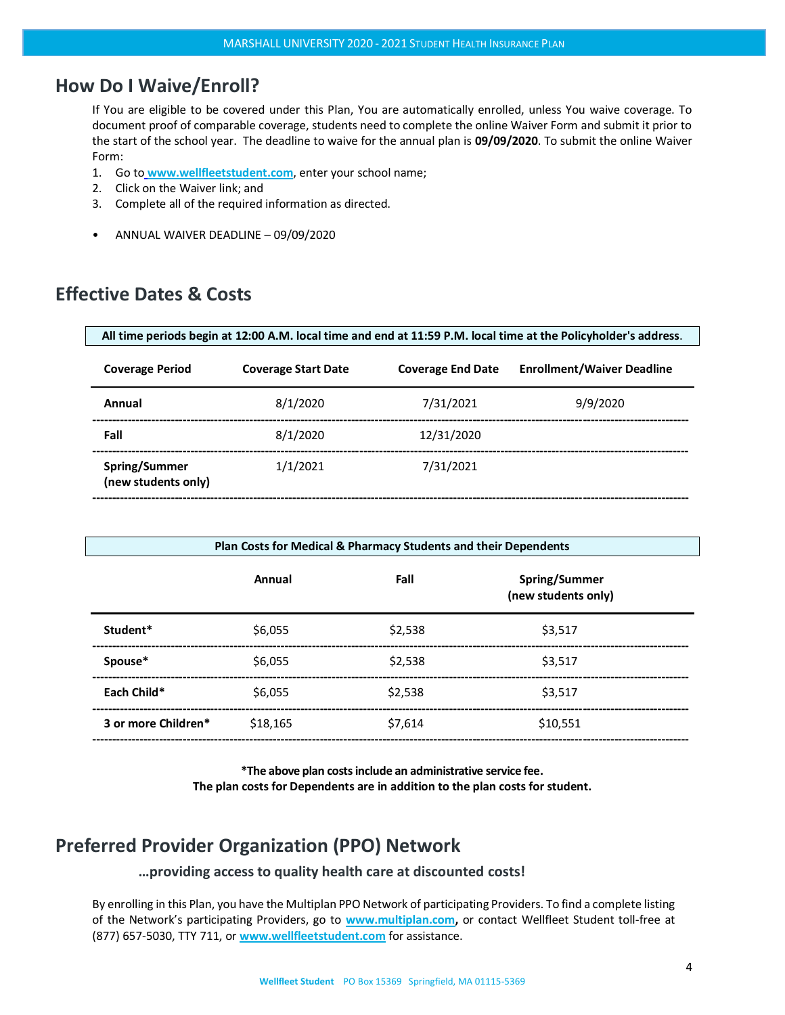# <span id="page-3-0"></span>**How Do I Waive/Enroll?**

If You are eligible to be covered under this Plan, You are automatically enrolled, unless You waive coverage. To document proof of comparable coverage, students need to complete the online Waiver Form and submit it prior to the start of the school year. The deadline to waive for the annual plan is **09/09/2020**. To submit the online Waiver Form:

- 1. Go to **[www.wellfleetstudent.com](http://www.chpstudenthealth.com/)**, enter your school name;
- 2. Click on the Waiver link; and
- 3. Complete all of the required information as directed.
- ANNUAL WAIVER DEADLINE 09/09/2020

# <span id="page-3-1"></span>**Effective Dates & Costs**

| All time periods begin at 12:00 A.M. local time and end at 11:59 P.M. local time at the Policyholder's address. |                            |                          |                                   |
|-----------------------------------------------------------------------------------------------------------------|----------------------------|--------------------------|-----------------------------------|
| <b>Coverage Period</b>                                                                                          | <b>Coverage Start Date</b> | <b>Coverage End Date</b> | <b>Enrollment/Waiver Deadline</b> |
| Annual                                                                                                          | 8/1/2020                   | 7/31/2021                | 9/9/2020                          |
| Fall                                                                                                            | 8/1/2020                   | 12/31/2020               |                                   |
| Spring/Summer<br>(new students only)                                                                            | 1/1/2021                   | 7/31/2021                |                                   |
|                                                                                                                 |                            |                          |                                   |

| Plan Costs for Medical & Pharmacy Students and their Dependents |          |         |                                      |  |
|-----------------------------------------------------------------|----------|---------|--------------------------------------|--|
|                                                                 | Annual   | Fall    | Spring/Summer<br>(new students only) |  |
| Student*                                                        | \$6,055  | \$2.538 | \$3.517                              |  |
| Spouse*                                                         | \$6,055  | \$2.538 | \$3.517                              |  |
| Each Child*                                                     | \$6,055  | \$2.538 | \$3.517                              |  |
| 3 or more Children*                                             | \$18.165 | \$7.614 | \$10,551                             |  |

**\*The above plan costs include an administrative service fee. The plan costs for Dependents are in addition to the plan costs for student.**

# <span id="page-3-2"></span>**Preferred Provider Organization (PPO) Network**

**…providing access to quality health care at discounted costs!**

By enrolling in this Plan, you have the Multiplan PPO Network of participating Providers. To find a complete listing of the Network's participating Providers, go to **[www.multiplan.com,](http://www.multiplan.com/)** or contact Wellfleet Student toll-free at (877) 657-5030, TTY 711, or **[www.wellfleetstudent.com](http://www.chpstudenthealth.com/)** for assistance.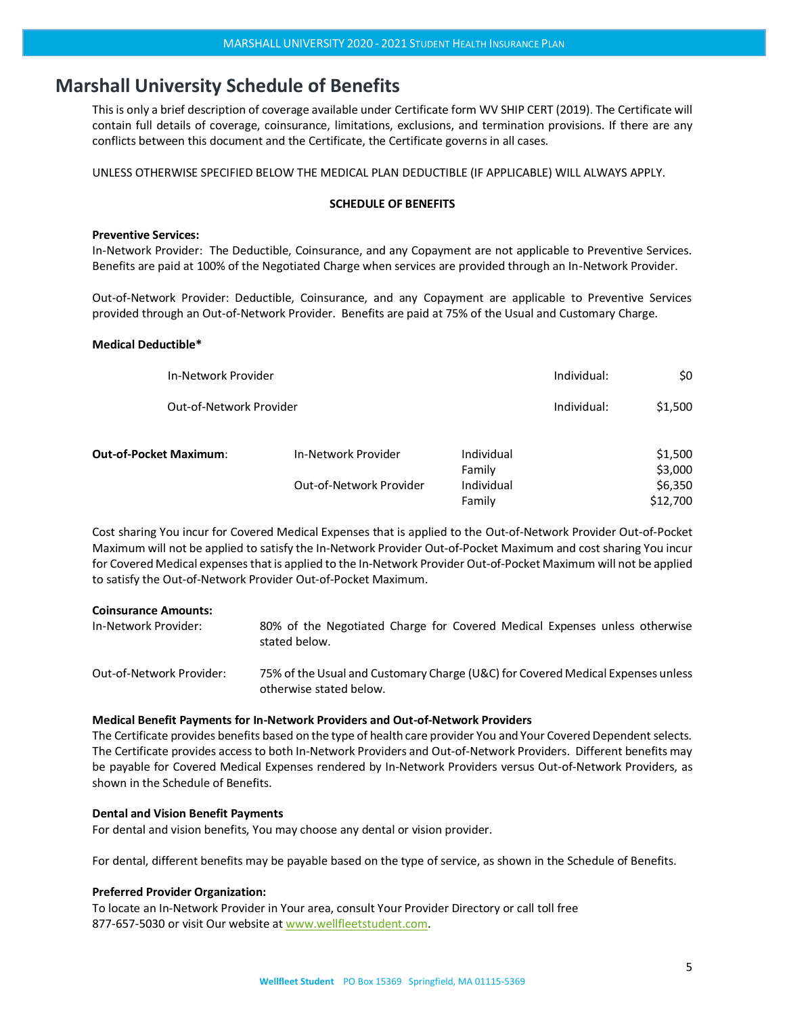## <span id="page-4-0"></span>**Marshall University Schedule of Benefits**

This is only a brief description of coverage available under Certificate form WV SHIP CERT (2019). The Certificate will contain full details of coverage, coinsurance, limitations, exclusions, and termination provisions. If there are any conflicts between this document and the Certificate, the Certificate governs in all cases.

UNLESS OTHERWISE SPECIFIED BELOW THE MEDICAL PLAN DEDUCTIBLE (IF APPLICABLE) WILL ALWAYS APPLY.

#### **SCHEDULE OF BENEFITS**

#### **Preventive Services:**

In-Network Provider: The Deductible, Coinsurance, and any Copayment are not applicable to Preventive Services. Benefits are paid at 100% of the Negotiated Charge when services are provided through an In-Network Provider.

Out-of-Network Provider: Deductible, Coinsurance, and any Copayment are applicable to Preventive Services provided through an Out-of-Network Provider. Benefits are paid at 75% of the Usual and Customary Charge.

#### **Medical Deductible\***

| In-Network Provider           |                         | Individual:          | \$0         |                     |
|-------------------------------|-------------------------|----------------------|-------------|---------------------|
| Out-of-Network Provider       |                         |                      | Individual: | \$1,500             |
| <b>Out-of-Pocket Maximum:</b> | In-Network Provider     | Individual<br>Family |             | \$1,500<br>\$3,000  |
|                               | Out-of-Network Provider | Individual<br>Family |             | \$6,350<br>\$12,700 |

Cost sharing You incur for Covered Medical Expenses that is applied to the Out-of-Network Provider Out-of-Pocket Maximum will not be applied to satisfy the In-Network Provider Out-of-Pocket Maximum and cost sharing You incur for Covered Medical expenses that is applied to the In-Network Provider Out-of-Pocket Maximum will not be applied to satisfy the Out-of-Network Provider Out-of-Pocket Maximum.

#### **Coinsurance Amounts:**

In-Network Provider: 80% of the Negotiated Charge for Covered Medical Expenses unless otherwise stated below.

Out-of-Network Provider: 75% of the Usual and Customary Charge (U&C) for Covered Medical Expenses unless otherwise stated below.

#### **Medical Benefit Payments for In-Network Providers and Out-of-Network Providers**

The Certificate provides benefits based on the type of health care provider You and Your Covered Dependent selects. The Certificate provides access to both In-Network Providers and Out-of-Network Providers. Different benefits may be payable for Covered Medical Expenses rendered by In-Network Providers versus Out-of-Network Providers, as shown in the Schedule of Benefits.

#### **Dental and Vision Benefit Payments**

For dental and vision benefits, You may choose any dental or vision provider.

For dental, different benefits may be payable based on the type of service, as shown in the Schedule of Benefits.

#### **Preferred Provider Organization:**

To locate an In-Network Provider in Your area, consult Your Provider Directory or call toll free 877-657-5030 or visit Our website at [www.wellfleetstudent.com.](http://www.wellfleetstudent.com/)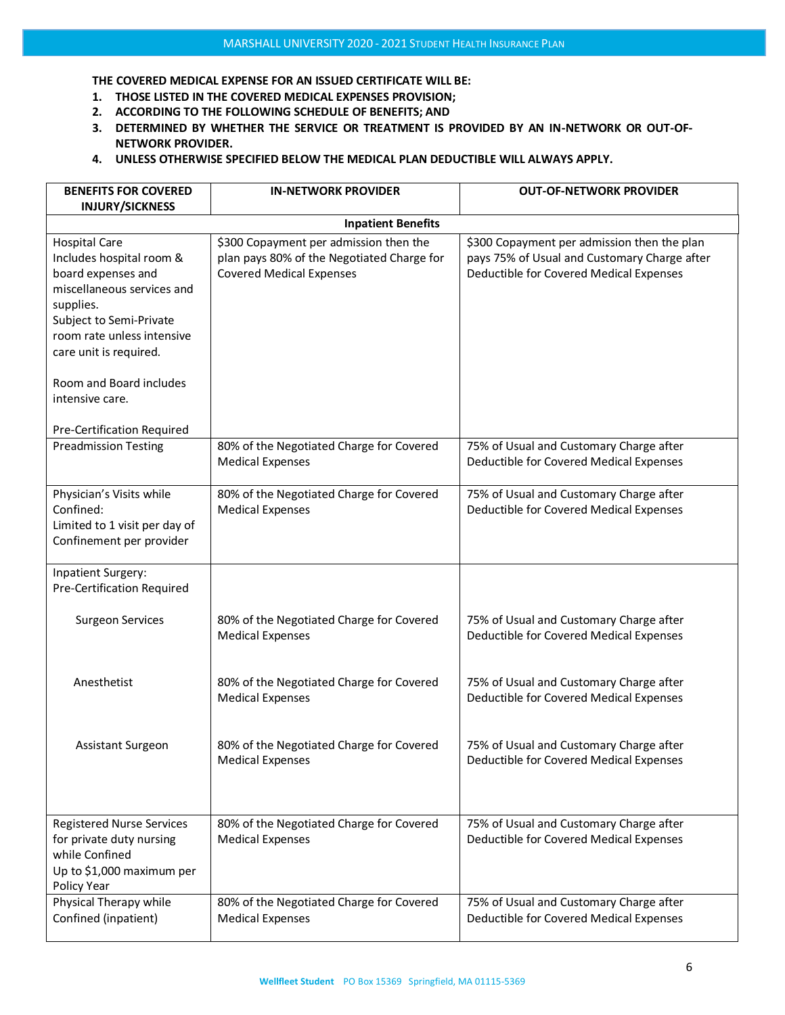**THE COVERED MEDICAL EXPENSE FOR AN ISSUED CERTIFICATE WILL BE:**

- **1. THOSE LISTED IN THE COVERED MEDICAL EXPENSES PROVISION;**
- **2. ACCORDING TO THE FOLLOWING SCHEDULE OF BENEFITS; AND**
- **3. DETERMINED BY WHETHER THE SERVICE OR TREATMENT IS PROVIDED BY AN IN-NETWORK OR OUT-OF-NETWORK PROVIDER.**
- **4. UNLESS OTHERWISE SPECIFIED BELOW THE MEDICAL PLAN DEDUCTIBLE WILL ALWAYS APPLY.**

| <b>BENEFITS FOR COVERED</b><br><b>INJURY/SICKNESS</b>                                                                                                                                                                                              | <b>IN-NETWORK PROVIDER</b>                                                                                              | <b>OUT-OF-NETWORK PROVIDER</b>                                                                                                         |  |
|----------------------------------------------------------------------------------------------------------------------------------------------------------------------------------------------------------------------------------------------------|-------------------------------------------------------------------------------------------------------------------------|----------------------------------------------------------------------------------------------------------------------------------------|--|
| <b>Inpatient Benefits</b>                                                                                                                                                                                                                          |                                                                                                                         |                                                                                                                                        |  |
| <b>Hospital Care</b><br>Includes hospital room &<br>board expenses and<br>miscellaneous services and<br>supplies.<br>Subject to Semi-Private<br>room rate unless intensive<br>care unit is required.<br>Room and Board includes<br>intensive care. | \$300 Copayment per admission then the<br>plan pays 80% of the Negotiated Charge for<br><b>Covered Medical Expenses</b> | \$300 Copayment per admission then the plan<br>pays 75% of Usual and Customary Charge after<br>Deductible for Covered Medical Expenses |  |
| Pre-Certification Required<br><b>Preadmission Testing</b>                                                                                                                                                                                          | 80% of the Negotiated Charge for Covered<br><b>Medical Expenses</b>                                                     | 75% of Usual and Customary Charge after<br>Deductible for Covered Medical Expenses                                                     |  |
| Physician's Visits while<br>Confined:<br>Limited to 1 visit per day of<br>Confinement per provider                                                                                                                                                 | 80% of the Negotiated Charge for Covered<br><b>Medical Expenses</b>                                                     | 75% of Usual and Customary Charge after<br>Deductible for Covered Medical Expenses                                                     |  |
| Inpatient Surgery:<br><b>Pre-Certification Required</b>                                                                                                                                                                                            |                                                                                                                         |                                                                                                                                        |  |
| <b>Surgeon Services</b>                                                                                                                                                                                                                            | 80% of the Negotiated Charge for Covered<br><b>Medical Expenses</b>                                                     | 75% of Usual and Customary Charge after<br>Deductible for Covered Medical Expenses                                                     |  |
| Anesthetist                                                                                                                                                                                                                                        | 80% of the Negotiated Charge for Covered<br><b>Medical Expenses</b>                                                     | 75% of Usual and Customary Charge after<br>Deductible for Covered Medical Expenses                                                     |  |
| Assistant Surgeon                                                                                                                                                                                                                                  | 80% of the Negotiated Charge for Covered<br><b>Medical Expenses</b>                                                     | 75% of Usual and Customary Charge after<br>Deductible for Covered Medical Expenses                                                     |  |
| <b>Registered Nurse Services</b><br>for private duty nursing<br>while Confined<br>Up to \$1,000 maximum per<br>Policy Year                                                                                                                         | 80% of the Negotiated Charge for Covered<br><b>Medical Expenses</b>                                                     | 75% of Usual and Customary Charge after<br>Deductible for Covered Medical Expenses                                                     |  |
| Physical Therapy while<br>Confined (inpatient)                                                                                                                                                                                                     | 80% of the Negotiated Charge for Covered<br><b>Medical Expenses</b>                                                     | 75% of Usual and Customary Charge after<br>Deductible for Covered Medical Expenses                                                     |  |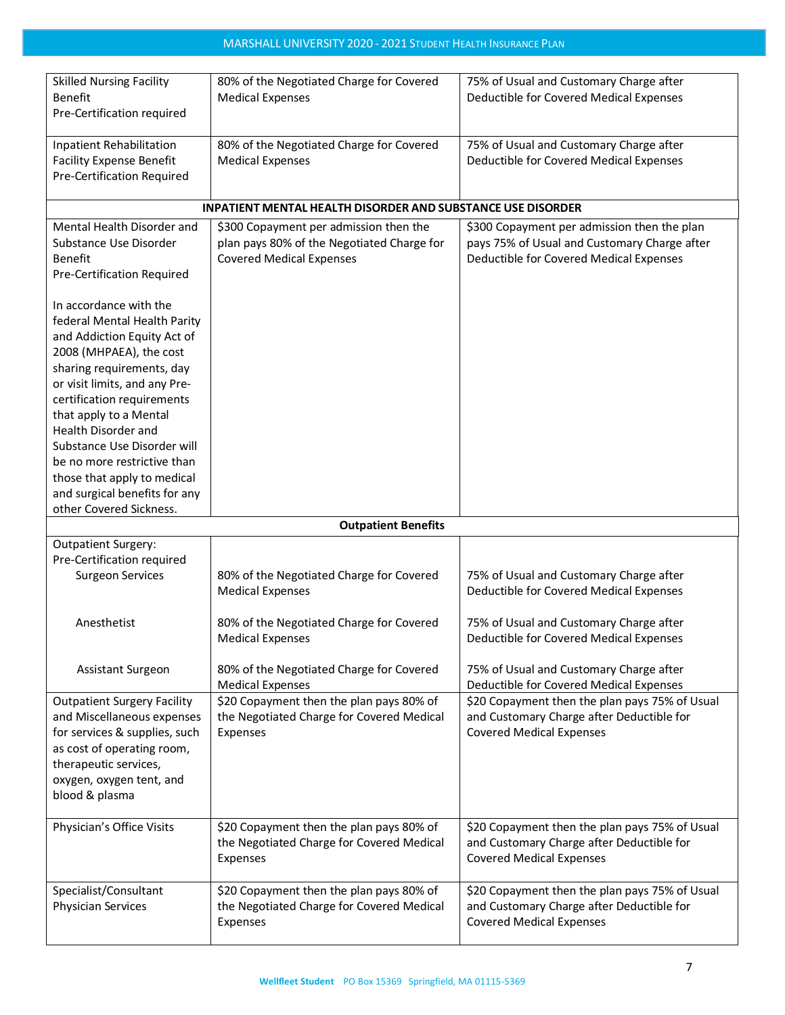| <b>Skilled Nursing Facility</b><br><b>Benefit</b>                                                                                                                                                            | 80% of the Negotiated Charge for Covered<br><b>Medical Expenses</b>                               | 75% of Usual and Customary Charge after<br>Deductible for Covered Medical Expenses                                             |
|--------------------------------------------------------------------------------------------------------------------------------------------------------------------------------------------------------------|---------------------------------------------------------------------------------------------------|--------------------------------------------------------------------------------------------------------------------------------|
| Pre-Certification required                                                                                                                                                                                   |                                                                                                   |                                                                                                                                |
| Inpatient Rehabilitation<br><b>Facility Expense Benefit</b><br><b>Pre-Certification Required</b>                                                                                                             | 80% of the Negotiated Charge for Covered<br><b>Medical Expenses</b>                               | 75% of Usual and Customary Charge after<br>Deductible for Covered Medical Expenses                                             |
|                                                                                                                                                                                                              | <b>INPATIENT MENTAL HEALTH DISORDER AND SUBSTANCE USE DISORDER</b>                                |                                                                                                                                |
| Mental Health Disorder and                                                                                                                                                                                   | \$300 Copayment per admission then the                                                            | \$300 Copayment per admission then the plan                                                                                    |
| Substance Use Disorder<br>Benefit<br>Pre-Certification Required                                                                                                                                              | plan pays 80% of the Negotiated Charge for<br><b>Covered Medical Expenses</b>                     | pays 75% of Usual and Customary Charge after<br>Deductible for Covered Medical Expenses                                        |
| In accordance with the<br>federal Mental Health Parity<br>and Addiction Equity Act of<br>2008 (MHPAEA), the cost<br>sharing requirements, day<br>or visit limits, and any Pre-<br>certification requirements |                                                                                                   |                                                                                                                                |
| that apply to a Mental<br><b>Health Disorder and</b>                                                                                                                                                         |                                                                                                   |                                                                                                                                |
| Substance Use Disorder will<br>be no more restrictive than<br>those that apply to medical<br>and surgical benefits for any                                                                                   |                                                                                                   |                                                                                                                                |
| other Covered Sickness.                                                                                                                                                                                      | <b>Outpatient Benefits</b>                                                                        |                                                                                                                                |
| <b>Outpatient Surgery:</b>                                                                                                                                                                                   |                                                                                                   |                                                                                                                                |
| Pre-Certification required<br><b>Surgeon Services</b>                                                                                                                                                        | 80% of the Negotiated Charge for Covered<br><b>Medical Expenses</b>                               | 75% of Usual and Customary Charge after<br>Deductible for Covered Medical Expenses                                             |
| Anesthetist                                                                                                                                                                                                  | 80% of the Negotiated Charge for Covered<br><b>Medical Expenses</b>                               | 75% of Usual and Customary Charge after<br>Deductible for Covered Medical Expenses                                             |
| Assistant Surgeon                                                                                                                                                                                            | 80% of the Negotiated Charge for Covered<br><b>Medical Expenses</b>                               | 75% of Usual and Customary Charge after<br>Deductible for Covered Medical Expenses                                             |
| <b>Outpatient Surgery Facility</b><br>and Miscellaneous expenses<br>for services & supplies, such<br>as cost of operating room,<br>therapeutic services,<br>oxygen, oxygen tent, and<br>blood & plasma       | \$20 Copayment then the plan pays 80% of<br>the Negotiated Charge for Covered Medical<br>Expenses | \$20 Copayment then the plan pays 75% of Usual<br>and Customary Charge after Deductible for<br><b>Covered Medical Expenses</b> |
| Physician's Office Visits                                                                                                                                                                                    | \$20 Copayment then the plan pays 80% of<br>the Negotiated Charge for Covered Medical<br>Expenses | \$20 Copayment then the plan pays 75% of Usual<br>and Customary Charge after Deductible for<br><b>Covered Medical Expenses</b> |
| Specialist/Consultant<br>Physician Services                                                                                                                                                                  | \$20 Copayment then the plan pays 80% of<br>the Negotiated Charge for Covered Medical<br>Expenses | \$20 Copayment then the plan pays 75% of Usual<br>and Customary Charge after Deductible for<br><b>Covered Medical Expenses</b> |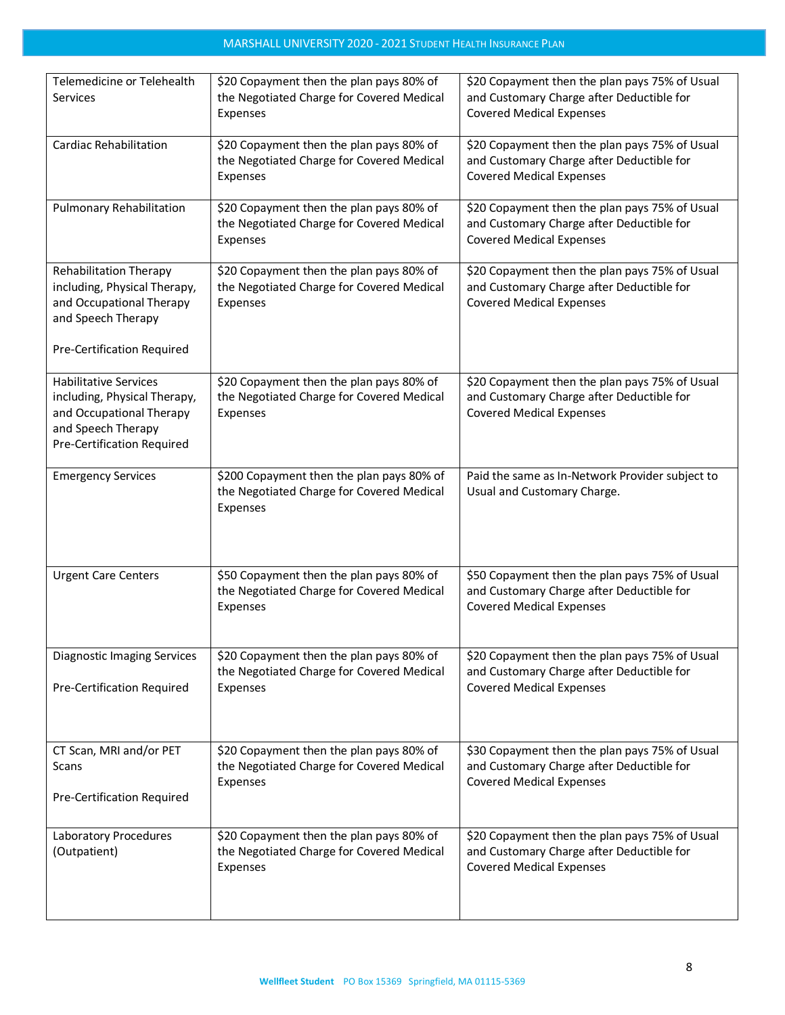| Telemedicine or Telehealth<br>Services                                                                                                       | \$20 Copayment then the plan pays 80% of<br>the Negotiated Charge for Covered Medical<br>Expenses  | \$20 Copayment then the plan pays 75% of Usual<br>and Customary Charge after Deductible for<br><b>Covered Medical Expenses</b> |
|----------------------------------------------------------------------------------------------------------------------------------------------|----------------------------------------------------------------------------------------------------|--------------------------------------------------------------------------------------------------------------------------------|
| <b>Cardiac Rehabilitation</b>                                                                                                                | \$20 Copayment then the plan pays 80% of<br>the Negotiated Charge for Covered Medical<br>Expenses  | \$20 Copayment then the plan pays 75% of Usual<br>and Customary Charge after Deductible for<br><b>Covered Medical Expenses</b> |
| Pulmonary Rehabilitation                                                                                                                     | \$20 Copayment then the plan pays 80% of<br>the Negotiated Charge for Covered Medical<br>Expenses  | \$20 Copayment then the plan pays 75% of Usual<br>and Customary Charge after Deductible for<br><b>Covered Medical Expenses</b> |
| Rehabilitation Therapy<br>including, Physical Therapy,<br>and Occupational Therapy<br>and Speech Therapy<br>Pre-Certification Required       | \$20 Copayment then the plan pays 80% of<br>the Negotiated Charge for Covered Medical<br>Expenses  | \$20 Copayment then the plan pays 75% of Usual<br>and Customary Charge after Deductible for<br><b>Covered Medical Expenses</b> |
| <b>Habilitative Services</b><br>including, Physical Therapy,<br>and Occupational Therapy<br>and Speech Therapy<br>Pre-Certification Required | \$20 Copayment then the plan pays 80% of<br>the Negotiated Charge for Covered Medical<br>Expenses  | \$20 Copayment then the plan pays 75% of Usual<br>and Customary Charge after Deductible for<br><b>Covered Medical Expenses</b> |
| <b>Emergency Services</b>                                                                                                                    | \$200 Copayment then the plan pays 80% of<br>the Negotiated Charge for Covered Medical<br>Expenses | Paid the same as In-Network Provider subject to<br>Usual and Customary Charge.                                                 |
| <b>Urgent Care Centers</b>                                                                                                                   | \$50 Copayment then the plan pays 80% of<br>the Negotiated Charge for Covered Medical<br>Expenses  | \$50 Copayment then the plan pays 75% of Usual<br>and Customary Charge after Deductible for<br><b>Covered Medical Expenses</b> |
| <b>Diagnostic Imaging Services</b><br>Pre-Certification Required                                                                             | \$20 Copayment then the plan pays 80% of<br>the Negotiated Charge for Covered Medical<br>Expenses  | \$20 Copayment then the plan pays 75% of Usual<br>and Customary Charge after Deductible for<br><b>Covered Medical Expenses</b> |
| CT Scan, MRI and/or PET<br>Scans<br>Pre-Certification Required                                                                               | \$20 Copayment then the plan pays 80% of<br>the Negotiated Charge for Covered Medical<br>Expenses  | \$30 Copayment then the plan pays 75% of Usual<br>and Customary Charge after Deductible for<br><b>Covered Medical Expenses</b> |
| Laboratory Procedures<br>(Outpatient)                                                                                                        | \$20 Copayment then the plan pays 80% of<br>the Negotiated Charge for Covered Medical<br>Expenses  | \$20 Copayment then the plan pays 75% of Usual<br>and Customary Charge after Deductible for<br><b>Covered Medical Expenses</b> |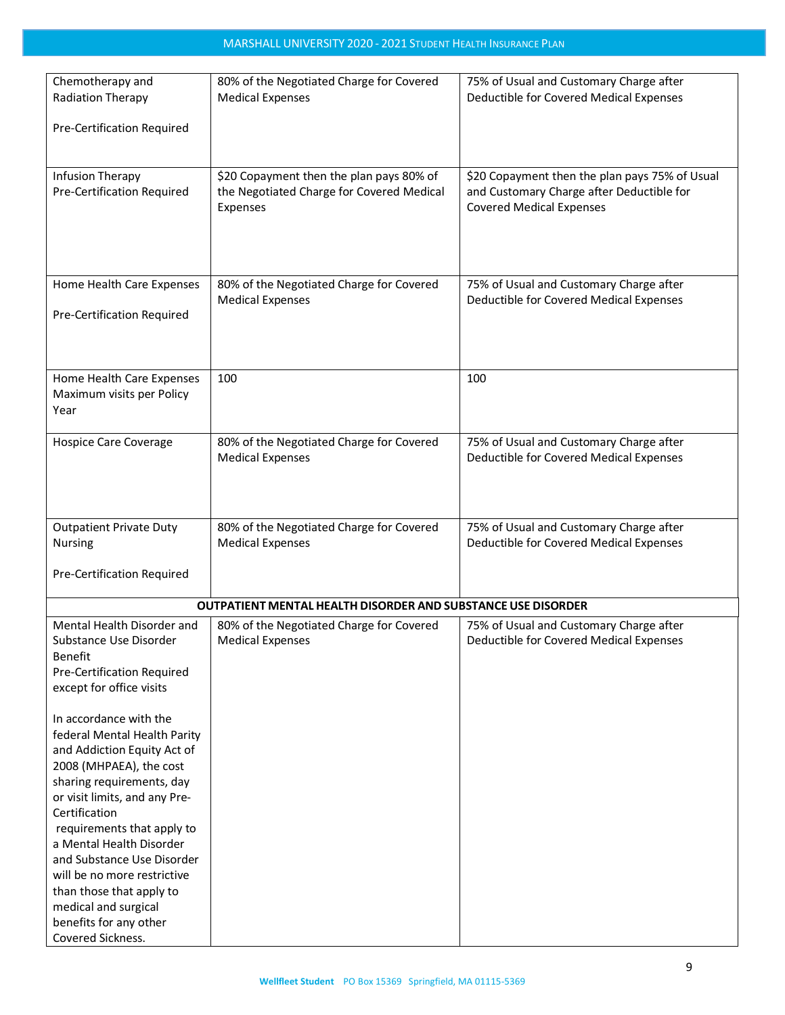| Chemotherapy and                  | 80% of the Negotiated Charge for Covered                     | 75% of Usual and Customary Charge after        |
|-----------------------------------|--------------------------------------------------------------|------------------------------------------------|
| Radiation Therapy                 | <b>Medical Expenses</b>                                      | Deductible for Covered Medical Expenses        |
|                                   |                                                              |                                                |
| Pre-Certification Required        |                                                              |                                                |
|                                   |                                                              |                                                |
|                                   |                                                              |                                                |
| Infusion Therapy                  | \$20 Copayment then the plan pays 80% of                     | \$20 Copayment then the plan pays 75% of Usual |
| <b>Pre-Certification Required</b> | the Negotiated Charge for Covered Medical                    | and Customary Charge after Deductible for      |
|                                   | Expenses                                                     | <b>Covered Medical Expenses</b>                |
|                                   |                                                              |                                                |
|                                   |                                                              |                                                |
|                                   |                                                              |                                                |
|                                   |                                                              |                                                |
| Home Health Care Expenses         | 80% of the Negotiated Charge for Covered                     | 75% of Usual and Customary Charge after        |
|                                   | <b>Medical Expenses</b>                                      | Deductible for Covered Medical Expenses        |
| Pre-Certification Required        |                                                              |                                                |
|                                   |                                                              |                                                |
|                                   |                                                              |                                                |
|                                   |                                                              |                                                |
| Home Health Care Expenses         | 100                                                          | 100                                            |
| Maximum visits per Policy         |                                                              |                                                |
| Year                              |                                                              |                                                |
|                                   |                                                              |                                                |
| Hospice Care Coverage             | 80% of the Negotiated Charge for Covered                     | 75% of Usual and Customary Charge after        |
|                                   | <b>Medical Expenses</b>                                      | Deductible for Covered Medical Expenses        |
|                                   |                                                              |                                                |
|                                   |                                                              |                                                |
|                                   |                                                              |                                                |
| <b>Outpatient Private Duty</b>    | 80% of the Negotiated Charge for Covered                     | 75% of Usual and Customary Charge after        |
| Nursing                           | <b>Medical Expenses</b>                                      | Deductible for Covered Medical Expenses        |
|                                   |                                                              |                                                |
| Pre-Certification Required        |                                                              |                                                |
|                                   |                                                              |                                                |
|                                   | OUTPATIENT MENTAL HEALTH DISORDER AND SUBSTANCE USE DISORDER |                                                |
| Mental Health Disorder and        | 80% of the Negotiated Charge for Covered                     | 75% of Usual and Customary Charge after        |
| Substance Use Disorder            | <b>Medical Expenses</b>                                      | Deductible for Covered Medical Expenses        |
| Benefit                           |                                                              |                                                |
| Pre-Certification Required        |                                                              |                                                |
| except for office visits          |                                                              |                                                |
|                                   |                                                              |                                                |
| In accordance with the            |                                                              |                                                |
| federal Mental Health Parity      |                                                              |                                                |
| and Addiction Equity Act of       |                                                              |                                                |
| 2008 (MHPAEA), the cost           |                                                              |                                                |
| sharing requirements, day         |                                                              |                                                |
| or visit limits, and any Pre-     |                                                              |                                                |
| Certification                     |                                                              |                                                |
| requirements that apply to        |                                                              |                                                |
| a Mental Health Disorder          |                                                              |                                                |
| and Substance Use Disorder        |                                                              |                                                |
| will be no more restrictive       |                                                              |                                                |
| than those that apply to          |                                                              |                                                |
| medical and surgical              |                                                              |                                                |
| benefits for any other            |                                                              |                                                |
| Covered Sickness.                 |                                                              |                                                |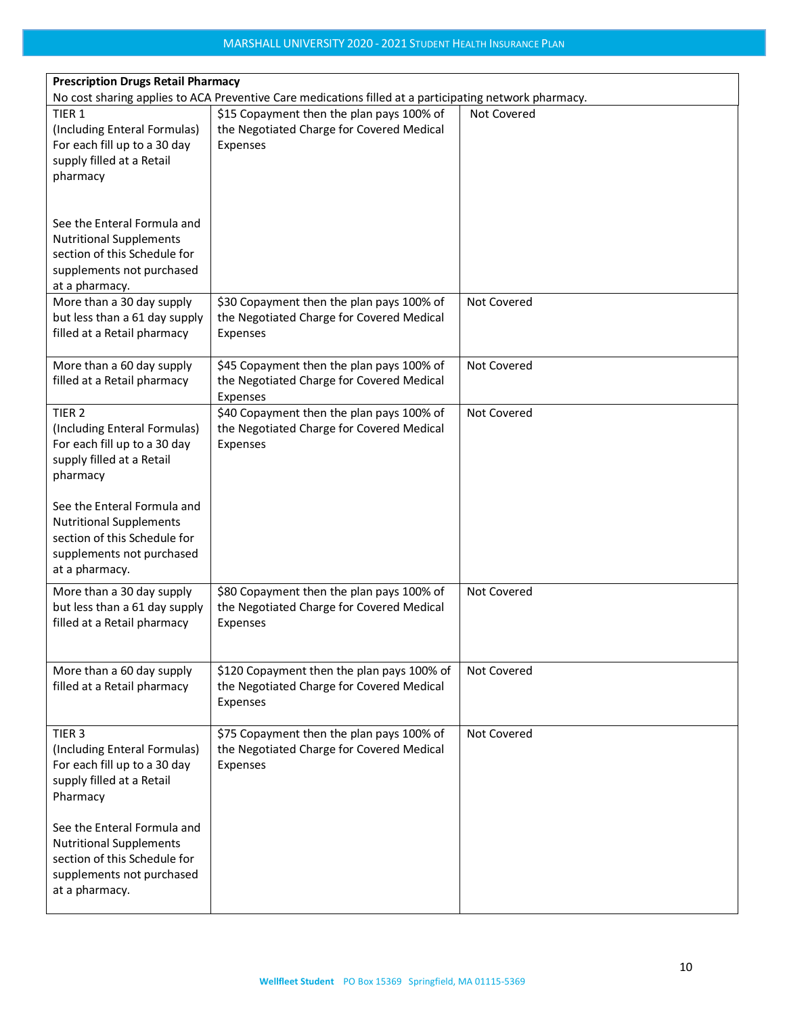| <b>Prescription Drugs Retail Pharmacy</b><br>No cost sharing applies to ACA Preventive Care medications filled at a participating network pharmacy. |                                                                                                     |             |
|-----------------------------------------------------------------------------------------------------------------------------------------------------|-----------------------------------------------------------------------------------------------------|-------------|
| TIER <sub>1</sub><br>(Including Enteral Formulas)<br>For each fill up to a 30 day<br>supply filled at a Retail<br>pharmacy                          | \$15 Copayment then the plan pays 100% of<br>the Negotiated Charge for Covered Medical<br>Expenses  | Not Covered |
| See the Enteral Formula and<br><b>Nutritional Supplements</b><br>section of this Schedule for<br>supplements not purchased<br>at a pharmacy.        |                                                                                                     |             |
| More than a 30 day supply<br>but less than a 61 day supply<br>filled at a Retail pharmacy                                                           | \$30 Copayment then the plan pays 100% of<br>the Negotiated Charge for Covered Medical<br>Expenses  | Not Covered |
| More than a 60 day supply<br>filled at a Retail pharmacy                                                                                            | \$45 Copayment then the plan pays 100% of<br>the Negotiated Charge for Covered Medical<br>Expenses  | Not Covered |
| TIER <sub>2</sub><br>(Including Enteral Formulas)<br>For each fill up to a 30 day<br>supply filled at a Retail<br>pharmacy                          | \$40 Copayment then the plan pays 100% of<br>the Negotiated Charge for Covered Medical<br>Expenses  | Not Covered |
| See the Enteral Formula and<br><b>Nutritional Supplements</b><br>section of this Schedule for<br>supplements not purchased<br>at a pharmacy.        |                                                                                                     |             |
| More than a 30 day supply<br>but less than a 61 day supply<br>filled at a Retail pharmacy                                                           | \$80 Copayment then the plan pays 100% of<br>the Negotiated Charge for Covered Medical<br>Expenses  | Not Covered |
| More than a 60 day supply<br>filled at a Retail pharmacy                                                                                            | \$120 Copayment then the plan pays 100% of<br>the Negotiated Charge for Covered Medical<br>Expenses | Not Covered |
| TIER <sub>3</sub><br>(Including Enteral Formulas)<br>For each fill up to a 30 day<br>supply filled at a Retail<br>Pharmacy                          | \$75 Copayment then the plan pays 100% of<br>the Negotiated Charge for Covered Medical<br>Expenses  | Not Covered |
| See the Enteral Formula and<br><b>Nutritional Supplements</b><br>section of this Schedule for<br>supplements not purchased<br>at a pharmacy.        |                                                                                                     |             |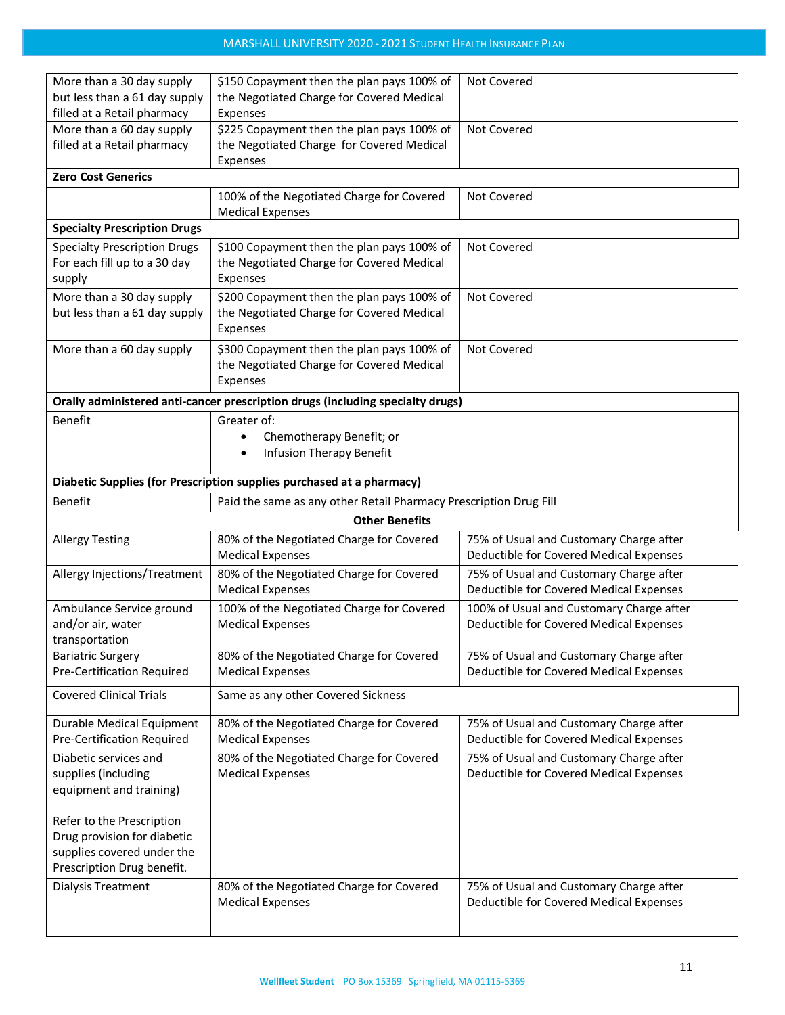| More than a 30 day supply           | \$150 Copayment then the plan pays 100% of                                     | Not Covered                                                                        |
|-------------------------------------|--------------------------------------------------------------------------------|------------------------------------------------------------------------------------|
| but less than a 61 day supply       | the Negotiated Charge for Covered Medical                                      |                                                                                    |
| filled at a Retail pharmacy         | Expenses                                                                       |                                                                                    |
| More than a 60 day supply           | \$225 Copayment then the plan pays 100% of                                     | Not Covered                                                                        |
| filled at a Retail pharmacy         | the Negotiated Charge for Covered Medical                                      |                                                                                    |
| <b>Zero Cost Generics</b>           | Expenses                                                                       |                                                                                    |
|                                     |                                                                                |                                                                                    |
|                                     | 100% of the Negotiated Charge for Covered<br><b>Medical Expenses</b>           | Not Covered                                                                        |
| <b>Specialty Prescription Drugs</b> |                                                                                |                                                                                    |
| <b>Specialty Prescription Drugs</b> | \$100 Copayment then the plan pays 100% of                                     | Not Covered                                                                        |
| For each fill up to a 30 day        | the Negotiated Charge for Covered Medical                                      |                                                                                    |
| supply                              | Expenses                                                                       |                                                                                    |
| More than a 30 day supply           | \$200 Copayment then the plan pays 100% of                                     | Not Covered                                                                        |
| but less than a 61 day supply       | the Negotiated Charge for Covered Medical                                      |                                                                                    |
|                                     | Expenses                                                                       |                                                                                    |
|                                     |                                                                                | Not Covered                                                                        |
| More than a 60 day supply           | \$300 Copayment then the plan pays 100% of                                     |                                                                                    |
|                                     | the Negotiated Charge for Covered Medical                                      |                                                                                    |
|                                     | Expenses                                                                       |                                                                                    |
|                                     | Orally administered anti-cancer prescription drugs (including specialty drugs) |                                                                                    |
| <b>Benefit</b>                      | Greater of:                                                                    |                                                                                    |
|                                     | Chemotherapy Benefit; or                                                       |                                                                                    |
|                                     | <b>Infusion Therapy Benefit</b><br>٠                                           |                                                                                    |
|                                     | Diabetic Supplies (for Prescription supplies purchased at a pharmacy)          |                                                                                    |
| <b>Benefit</b>                      | Paid the same as any other Retail Pharmacy Prescription Drug Fill              |                                                                                    |
|                                     |                                                                                |                                                                                    |
|                                     | <b>Other Benefits</b>                                                          |                                                                                    |
| <b>Allergy Testing</b>              | 80% of the Negotiated Charge for Covered                                       | 75% of Usual and Customary Charge after                                            |
|                                     | <b>Medical Expenses</b>                                                        | Deductible for Covered Medical Expenses                                            |
| Allergy Injections/Treatment        | 80% of the Negotiated Charge for Covered                                       | 75% of Usual and Customary Charge after                                            |
|                                     | <b>Medical Expenses</b>                                                        | Deductible for Covered Medical Expenses                                            |
| Ambulance Service ground            |                                                                                |                                                                                    |
| and/or air, water                   | 100% of the Negotiated Charge for Covered                                      | 100% of Usual and Customary Charge after                                           |
|                                     | <b>Medical Expenses</b>                                                        | Deductible for Covered Medical Expenses                                            |
| transportation                      |                                                                                |                                                                                    |
| <b>Bariatric Surgery</b>            | 80% of the Negotiated Charge for Covered                                       | 75% of Usual and Customary Charge after                                            |
| Pre-Certification Required          | <b>Medical Expenses</b>                                                        | Deductible for Covered Medical Expenses                                            |
|                                     |                                                                                |                                                                                    |
| <b>Covered Clinical Trials</b>      | Same as any other Covered Sickness                                             |                                                                                    |
| Durable Medical Equipment           | 80% of the Negotiated Charge for Covered                                       | 75% of Usual and Customary Charge after                                            |
| Pre-Certification Required          | <b>Medical Expenses</b>                                                        | Deductible for Covered Medical Expenses                                            |
| Diabetic services and               | 80% of the Negotiated Charge for Covered                                       | 75% of Usual and Customary Charge after                                            |
| supplies (including                 | <b>Medical Expenses</b>                                                        | Deductible for Covered Medical Expenses                                            |
| equipment and training)             |                                                                                |                                                                                    |
|                                     |                                                                                |                                                                                    |
| Refer to the Prescription           |                                                                                |                                                                                    |
| Drug provision for diabetic         |                                                                                |                                                                                    |
| supplies covered under the          |                                                                                |                                                                                    |
| Prescription Drug benefit.          |                                                                                |                                                                                    |
|                                     |                                                                                |                                                                                    |
| Dialysis Treatment                  | 80% of the Negotiated Charge for Covered<br><b>Medical Expenses</b>            | 75% of Usual and Customary Charge after<br>Deductible for Covered Medical Expenses |
|                                     |                                                                                |                                                                                    |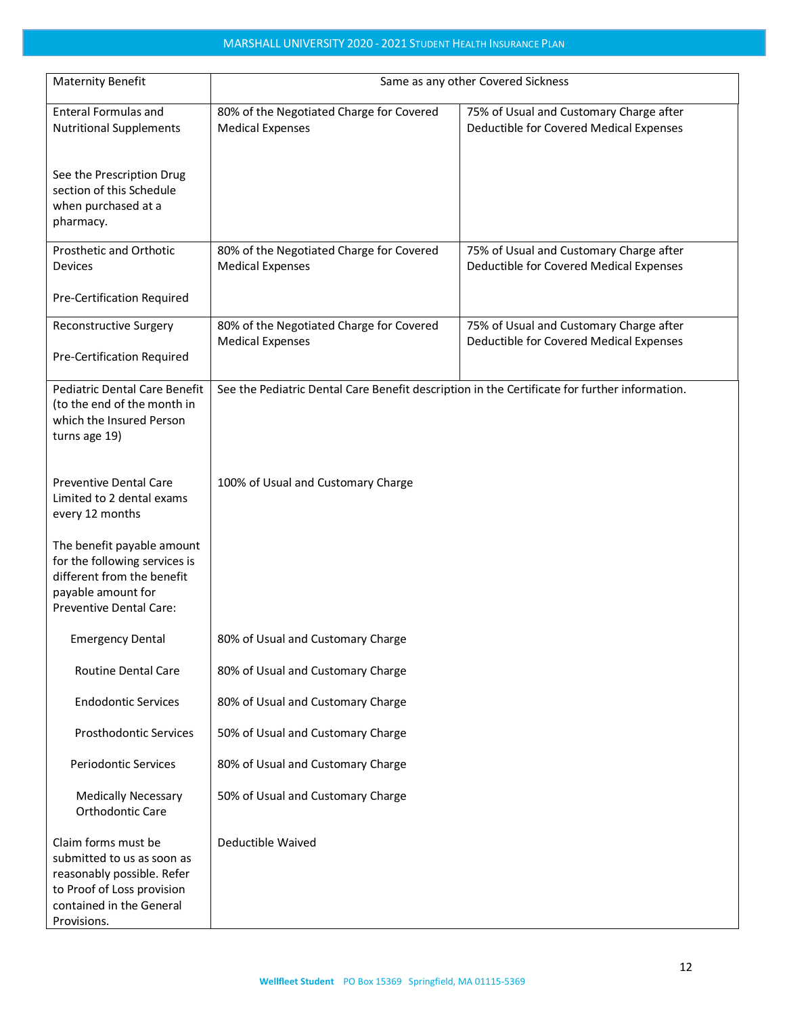| <b>Maternity Benefit</b>                                                                                                                                 | Same as any other Covered Sickness                                                            |                                                                                    |  |
|----------------------------------------------------------------------------------------------------------------------------------------------------------|-----------------------------------------------------------------------------------------------|------------------------------------------------------------------------------------|--|
| <b>Enteral Formulas and</b><br><b>Nutritional Supplements</b>                                                                                            | 80% of the Negotiated Charge for Covered<br><b>Medical Expenses</b>                           | 75% of Usual and Customary Charge after<br>Deductible for Covered Medical Expenses |  |
| See the Prescription Drug<br>section of this Schedule<br>when purchased at a<br>pharmacy.                                                                |                                                                                               |                                                                                    |  |
| Prosthetic and Orthotic<br><b>Devices</b>                                                                                                                | 80% of the Negotiated Charge for Covered<br><b>Medical Expenses</b>                           | 75% of Usual and Customary Charge after<br>Deductible for Covered Medical Expenses |  |
| Pre-Certification Required                                                                                                                               |                                                                                               |                                                                                    |  |
| <b>Reconstructive Surgery</b><br>Pre-Certification Required                                                                                              | 80% of the Negotiated Charge for Covered<br><b>Medical Expenses</b>                           | 75% of Usual and Customary Charge after<br>Deductible for Covered Medical Expenses |  |
| <b>Pediatric Dental Care Benefit</b><br>(to the end of the month in<br>which the Insured Person<br>turns age 19)                                         | See the Pediatric Dental Care Benefit description in the Certificate for further information. |                                                                                    |  |
| <b>Preventive Dental Care</b><br>Limited to 2 dental exams<br>every 12 months                                                                            | 100% of Usual and Customary Charge                                                            |                                                                                    |  |
| The benefit payable amount<br>for the following services is<br>different from the benefit<br>payable amount for<br>Preventive Dental Care:               |                                                                                               |                                                                                    |  |
| <b>Emergency Dental</b>                                                                                                                                  | 80% of Usual and Customary Charge                                                             |                                                                                    |  |
| Routine Dental Care                                                                                                                                      | 80% of Usual and Customary Charge                                                             |                                                                                    |  |
| <b>Endodontic Services</b>                                                                                                                               | 80% of Usual and Customary Charge                                                             |                                                                                    |  |
| <b>Prosthodontic Services</b>                                                                                                                            | 50% of Usual and Customary Charge                                                             |                                                                                    |  |
| <b>Periodontic Services</b>                                                                                                                              | 80% of Usual and Customary Charge                                                             |                                                                                    |  |
| <b>Medically Necessary</b><br>Orthodontic Care                                                                                                           | 50% of Usual and Customary Charge                                                             |                                                                                    |  |
| Claim forms must be<br>submitted to us as soon as<br>reasonably possible. Refer<br>to Proof of Loss provision<br>contained in the General<br>Provisions. | Deductible Waived                                                                             |                                                                                    |  |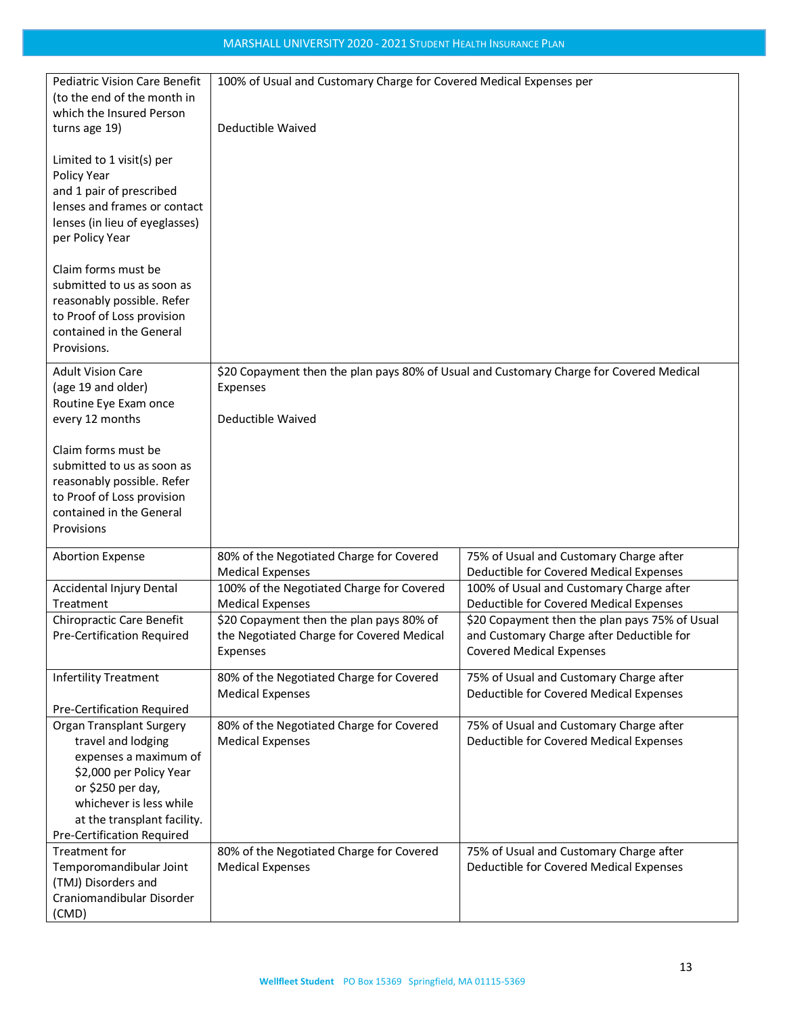| <b>Pediatric Vision Care Benefit</b><br>(to the end of the month in<br>which the Insured Person                                                                                                                        | 100% of Usual and Customary Charge for Covered Medical Expenses per                     |                                                                                    |  |
|------------------------------------------------------------------------------------------------------------------------------------------------------------------------------------------------------------------------|-----------------------------------------------------------------------------------------|------------------------------------------------------------------------------------|--|
| turns age 19)                                                                                                                                                                                                          | Deductible Waived                                                                       |                                                                                    |  |
| Limited to 1 visit(s) per<br>Policy Year<br>and 1 pair of prescribed<br>lenses and frames or contact<br>lenses (in lieu of eyeglasses)<br>per Policy Year                                                              |                                                                                         |                                                                                    |  |
| Claim forms must be<br>submitted to us as soon as<br>reasonably possible. Refer<br>to Proof of Loss provision<br>contained in the General<br>Provisions.                                                               |                                                                                         |                                                                                    |  |
| <b>Adult Vision Care</b>                                                                                                                                                                                               | \$20 Copayment then the plan pays 80% of Usual and Customary Charge for Covered Medical |                                                                                    |  |
| (age 19 and older)<br>Routine Eye Exam once                                                                                                                                                                            | Expenses                                                                                |                                                                                    |  |
| every 12 months                                                                                                                                                                                                        | Deductible Waived                                                                       |                                                                                    |  |
| Claim forms must be<br>submitted to us as soon as<br>reasonably possible. Refer<br>to Proof of Loss provision<br>contained in the General<br>Provisions                                                                |                                                                                         |                                                                                    |  |
| <b>Abortion Expense</b>                                                                                                                                                                                                | 80% of the Negotiated Charge for Covered                                                | 75% of Usual and Customary Charge after                                            |  |
|                                                                                                                                                                                                                        | <b>Medical Expenses</b>                                                                 | Deductible for Covered Medical Expenses                                            |  |
| Accidental Injury Dental                                                                                                                                                                                               | 100% of the Negotiated Charge for Covered                                               | 100% of Usual and Customary Charge after                                           |  |
| Treatment                                                                                                                                                                                                              | <b>Medical Expenses</b>                                                                 | Deductible for Covered Medical Expenses                                            |  |
| Chiropractic Care Benefit                                                                                                                                                                                              | \$20 Copayment then the plan pays 80% of                                                | \$20 Copayment then the plan pays 75% of Usual                                     |  |
| Pre-Certification Required                                                                                                                                                                                             | the Negotiated Charge for Covered Medical<br>Expenses                                   | and Customary Charge after Deductible for<br><b>Covered Medical Expenses</b>       |  |
| <b>Infertility Treatment</b><br>Pre-Certification Required                                                                                                                                                             | 80% of the Negotiated Charge for Covered<br><b>Medical Expenses</b>                     | 75% of Usual and Customary Charge after<br>Deductible for Covered Medical Expenses |  |
| <b>Organ Transplant Surgery</b><br>travel and lodging<br>expenses a maximum of<br>\$2,000 per Policy Year<br>or \$250 per day,<br>whichever is less while<br>at the transplant facility.<br>Pre-Certification Required | 80% of the Negotiated Charge for Covered<br><b>Medical Expenses</b>                     | 75% of Usual and Customary Charge after<br>Deductible for Covered Medical Expenses |  |
| Treatment for<br>Temporomandibular Joint<br>(TMJ) Disorders and<br>Craniomandibular Disorder<br>(CMD)                                                                                                                  | 80% of the Negotiated Charge for Covered<br><b>Medical Expenses</b>                     | 75% of Usual and Customary Charge after<br>Deductible for Covered Medical Expenses |  |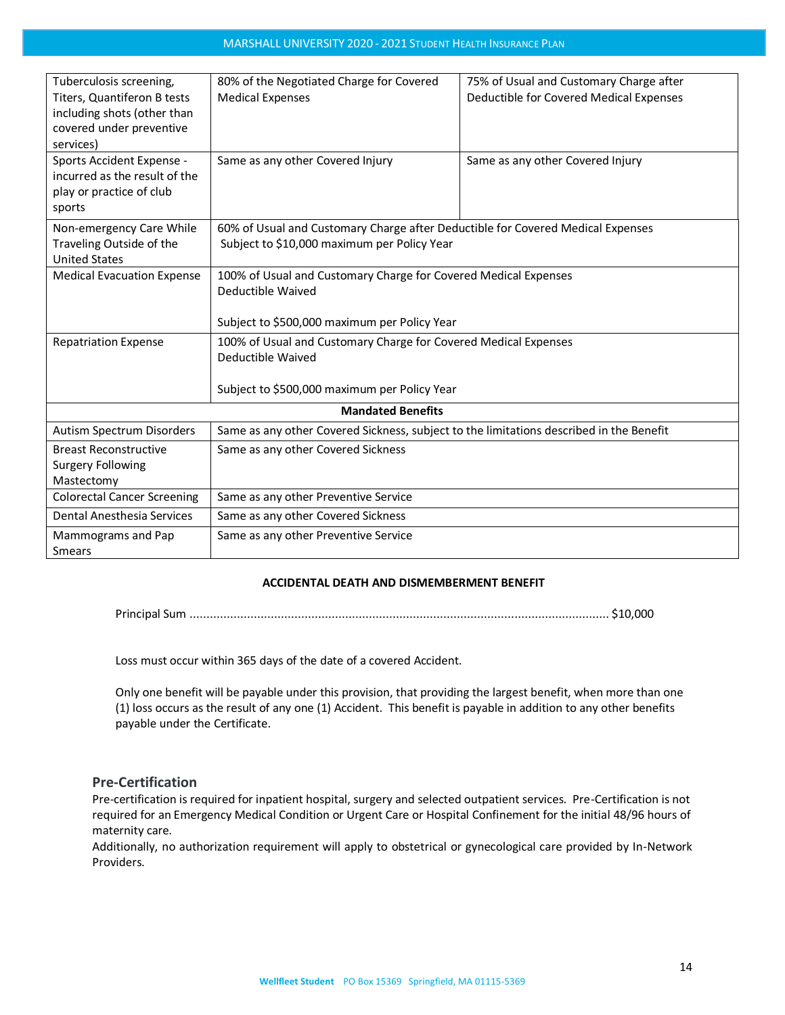| Tuberculosis screening,<br>Titers, Quantiferon B tests<br>including shots (other than<br>covered under preventive<br>services) | 80% of the Negotiated Charge for Covered<br><b>Medical Expenses</b>                                                                  | 75% of Usual and Customary Charge after<br>Deductible for Covered Medical Expenses |  |  |
|--------------------------------------------------------------------------------------------------------------------------------|--------------------------------------------------------------------------------------------------------------------------------------|------------------------------------------------------------------------------------|--|--|
| Sports Accident Expense -<br>incurred as the result of the<br>play or practice of club<br>sports                               | Same as any other Covered Injury                                                                                                     | Same as any other Covered Injury                                                   |  |  |
| Non-emergency Care While<br>Traveling Outside of the<br><b>United States</b>                                                   | 60% of Usual and Customary Charge after Deductible for Covered Medical Expenses<br>Subject to \$10,000 maximum per Policy Year       |                                                                                    |  |  |
| <b>Medical Evacuation Expense</b>                                                                                              | 100% of Usual and Customary Charge for Covered Medical Expenses<br>Deductible Waived<br>Subject to \$500,000 maximum per Policy Year |                                                                                    |  |  |
| <b>Repatriation Expense</b>                                                                                                    | 100% of Usual and Customary Charge for Covered Medical Expenses<br>Deductible Waived<br>Subject to \$500,000 maximum per Policy Year |                                                                                    |  |  |
| <b>Mandated Benefits</b>                                                                                                       |                                                                                                                                      |                                                                                    |  |  |
| Autism Spectrum Disorders                                                                                                      | Same as any other Covered Sickness, subject to the limitations described in the Benefit                                              |                                                                                    |  |  |
| <b>Breast Reconstructive</b><br><b>Surgery Following</b><br>Mastectomy                                                         | Same as any other Covered Sickness                                                                                                   |                                                                                    |  |  |
| <b>Colorectal Cancer Screening</b>                                                                                             | Same as any other Preventive Service                                                                                                 |                                                                                    |  |  |
| Dental Anesthesia Services                                                                                                     | Same as any other Covered Sickness                                                                                                   |                                                                                    |  |  |
| Mammograms and Pap<br><b>Smears</b>                                                                                            | Same as any other Preventive Service                                                                                                 |                                                                                    |  |  |

## **ACCIDENTAL DEATH AND DISMEMBERMENT BENEFIT**

Principal Sum ............................................................................................................................ \$10,000

Loss must occur within 365 days of the date of a covered Accident.

Only one benefit will be payable under this provision, that providing the largest benefit, when more than one (1) loss occurs as the result of any one (1) Accident. This benefit is payable in addition to any other benefits payable under the Certificate.

## <span id="page-13-0"></span>**Pre-Certification**

Pre-certification is required for inpatient hospital, surgery and selected outpatient services. Pre-Certification is not required for an Emergency Medical Condition or Urgent Care or Hospital Confinement for the initial 48/96 hours of maternity care.

Additionally, no authorization requirement will apply to obstetrical or gynecological care provided by In-Network Providers.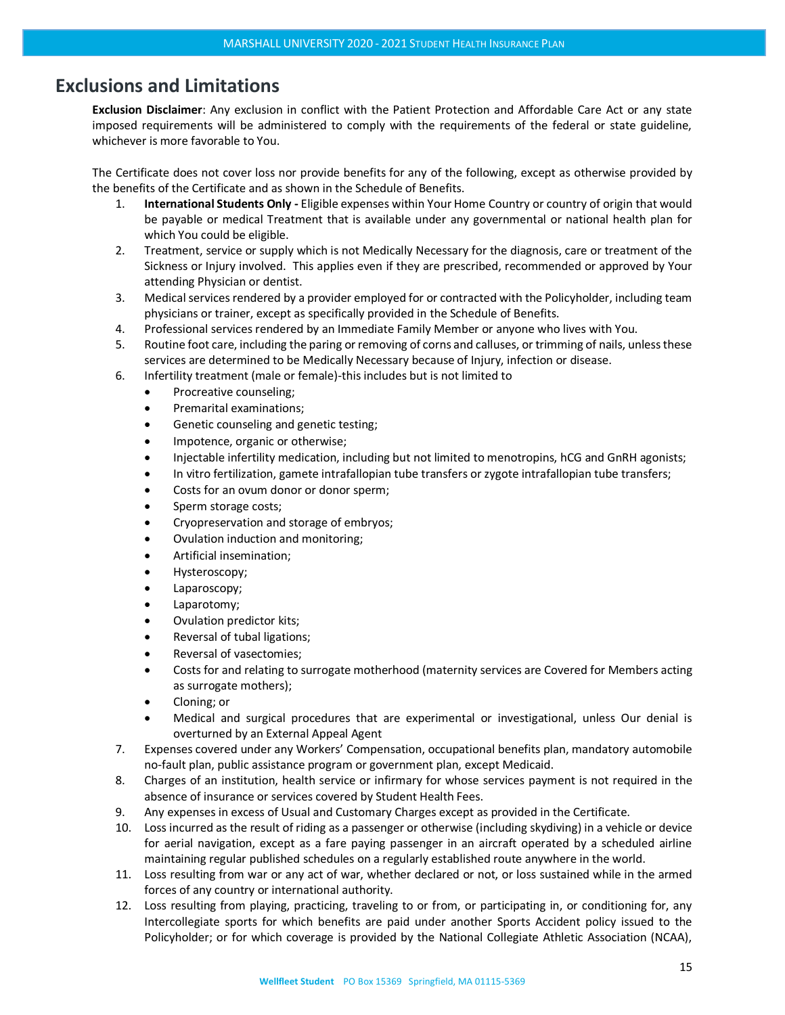# <span id="page-14-0"></span>**Exclusions and Limitations**

**Exclusion Disclaimer**: Any exclusion in conflict with the Patient Protection and Affordable Care Act or any state imposed requirements will be administered to comply with the requirements of the federal or state guideline, whichever is more favorable to You.

The Certificate does not cover loss nor provide benefits for any of the following, except as otherwise provided by the benefits of the Certificate and as shown in the Schedule of Benefits.

- 1. **International Students Only -** Eligible expenses within Your Home Country or country of origin that would be payable or medical Treatment that is available under any governmental or national health plan for which You could be eligible.
- 2. Treatment, service or supply which is not Medically Necessary for the diagnosis, care or treatment of the Sickness or Injury involved. This applies even if they are prescribed, recommended or approved by Your attending Physician or dentist.
- 3. Medical services rendered by a provider employed for or contracted with the Policyholder, including team physicians or trainer, except as specifically provided in the Schedule of Benefits.
- 4. Professional services rendered by an Immediate Family Member or anyone who lives with You.
- 5. Routine foot care, including the paring or removing of corns and calluses, or trimming of nails, unless these services are determined to be Medically Necessary because of Injury, infection or disease.
- 6. Infertility treatment (male or female)-this includes but is not limited to
	- Procreative counseling;
	- Premarital examinations;
	- Genetic counseling and genetic testing;
	- Impotence, organic or otherwise;
	- Injectable infertility medication, including but not limited to menotropins, hCG and GnRH agonists;
	- In vitro fertilization, gamete intrafallopian tube transfers or zygote intrafallopian tube transfers;
	- Costs for an ovum donor or donor sperm;
	- Sperm storage costs;
	- Cryopreservation and storage of embryos;
	- Ovulation induction and monitoring;
	- Artificial insemination;
	- Hysteroscopy;
	- Laparoscopy;
	- Laparotomy;
	- Ovulation predictor kits;
	- Reversal of tubal ligations;
	- Reversal of vasectomies;
	- Costs for and relating to surrogate motherhood (maternity services are Covered for Members acting as surrogate mothers);
	- Cloning; or
	- Medical and surgical procedures that are experimental or investigational, unless Our denial is overturned by an External Appeal Agent
- 7. Expenses covered under any Workers' Compensation, occupational benefits plan, mandatory automobile no-fault plan, public assistance program or government plan, except Medicaid.
- 8. Charges of an institution, health service or infirmary for whose services payment is not required in the absence of insurance or services covered by Student Health Fees.
- 9. Any expenses in excess of Usual and Customary Charges except as provided in the Certificate.
- 10. Loss incurred as the result of riding as a passenger or otherwise (including skydiving) in a vehicle or device for aerial navigation, except as a fare paying passenger in an aircraft operated by a scheduled airline maintaining regular published schedules on a regularly established route anywhere in the world.
- 11. Loss resulting from war or any act of war, whether declared or not, or loss sustained while in the armed forces of any country or international authority.
- 12. Loss resulting from playing, practicing, traveling to or from, or participating in, or conditioning for, any Intercollegiate sports for which benefits are paid under another Sports Accident policy issued to the Policyholder; or for which coverage is provided by the National Collegiate Athletic Association (NCAA),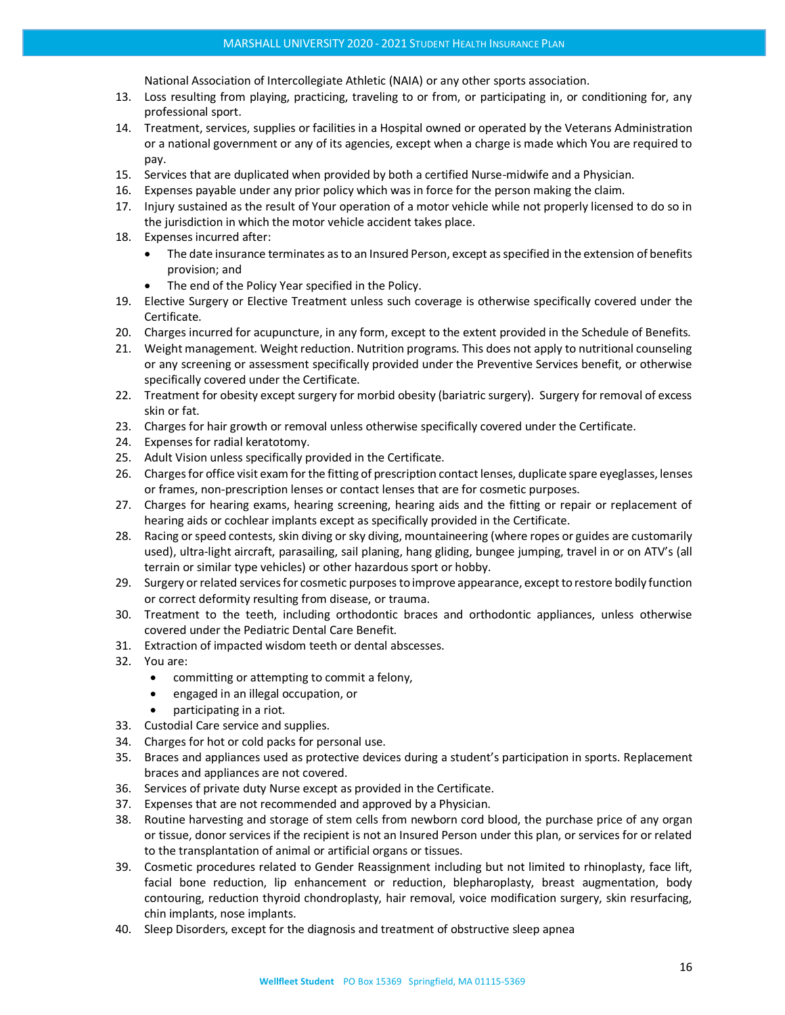National Association of Intercollegiate Athletic (NAIA) or any other sports association.

- 13. Loss resulting from playing, practicing, traveling to or from, or participating in, or conditioning for, any professional sport.
- 14. Treatment, services, supplies or facilities in a Hospital owned or operated by the Veterans Administration or a national government or any of its agencies, except when a charge is made which You are required to pay.
- 15. Services that are duplicated when provided by both a certified Nurse-midwife and a Physician.
- 16. Expenses payable under any prior policy which was in force for the person making the claim.
- 17. Injury sustained as the result of Your operation of a motor vehicle while not properly licensed to do so in the jurisdiction in which the motor vehicle accident takes place.
- 18. Expenses incurred after:
	- The date insurance terminates as to an Insured Person, except as specified in the extension of benefits provision; and
	- The end of the Policy Year specified in the Policy.
- 19. Elective Surgery or Elective Treatment unless such coverage is otherwise specifically covered under the Certificate.
- 20. Charges incurred for acupuncture, in any form, except to the extent provided in the Schedule of Benefits.
- 21. Weight management. Weight reduction. Nutrition programs. This does not apply to nutritional counseling or any screening or assessment specifically provided under the Preventive Services benefit, or otherwise specifically covered under the Certificate.
- 22. Treatment for obesity except surgery for morbid obesity (bariatric surgery). Surgery for removal of excess skin or fat.
- 23. Charges for hair growth or removal unless otherwise specifically covered under the Certificate.
- 24. Expenses for radial keratotomy.
- 25. Adult Vision unless specifically provided in the Certificate.
- 26. Charges for office visit exam for the fitting of prescription contact lenses, duplicate spare eyeglasses, lenses or frames, non-prescription lenses or contact lenses that are for cosmetic purposes.
- 27. Charges for hearing exams, hearing screening, hearing aids and the fitting or repair or replacement of hearing aids or cochlear implants except as specifically provided in the Certificate.
- 28. Racing or speed contests, skin diving or sky diving, mountaineering (where ropes or guides are customarily used), ultra-light aircraft, parasailing, sail planing, hang gliding, bungee jumping, travel in or on ATV's (all terrain or similar type vehicles) or other hazardous sport or hobby.
- 29. Surgery or related services for cosmetic purposes to improve appearance, except to restore bodily function or correct deformity resulting from disease, or trauma.
- 30. Treatment to the teeth, including orthodontic braces and orthodontic appliances, unless otherwise covered under the Pediatric Dental Care Benefit.
- 31. Extraction of impacted wisdom teeth or dental abscesses.
- 32. You are:
	- committing or attempting to commit a felony,
	- engaged in an illegal occupation, or
	- participating in a riot.
- 33. Custodial Care service and supplies.
- 34. Charges for hot or cold packs for personal use.
- 35. Braces and appliances used as protective devices during a student's participation in sports. Replacement braces and appliances are not covered.
- 36. Services of private duty Nurse except as provided in the Certificate.
- 37. Expenses that are not recommended and approved by a Physician.
- 38. Routine harvesting and storage of stem cells from newborn cord blood, the purchase price of any organ or tissue, donor services if the recipient is not an Insured Person under this plan, or services for or related to the transplantation of animal or artificial organs or tissues.
- 39. Cosmetic procedures related to Gender Reassignment including but not limited to rhinoplasty, face lift, facial bone reduction, lip enhancement or reduction, blepharoplasty, breast augmentation, body contouring, reduction thyroid chondroplasty, hair removal, voice modification surgery, skin resurfacing, chin implants, nose implants.
- 40. Sleep Disorders, except for the diagnosis and treatment of obstructive sleep apnea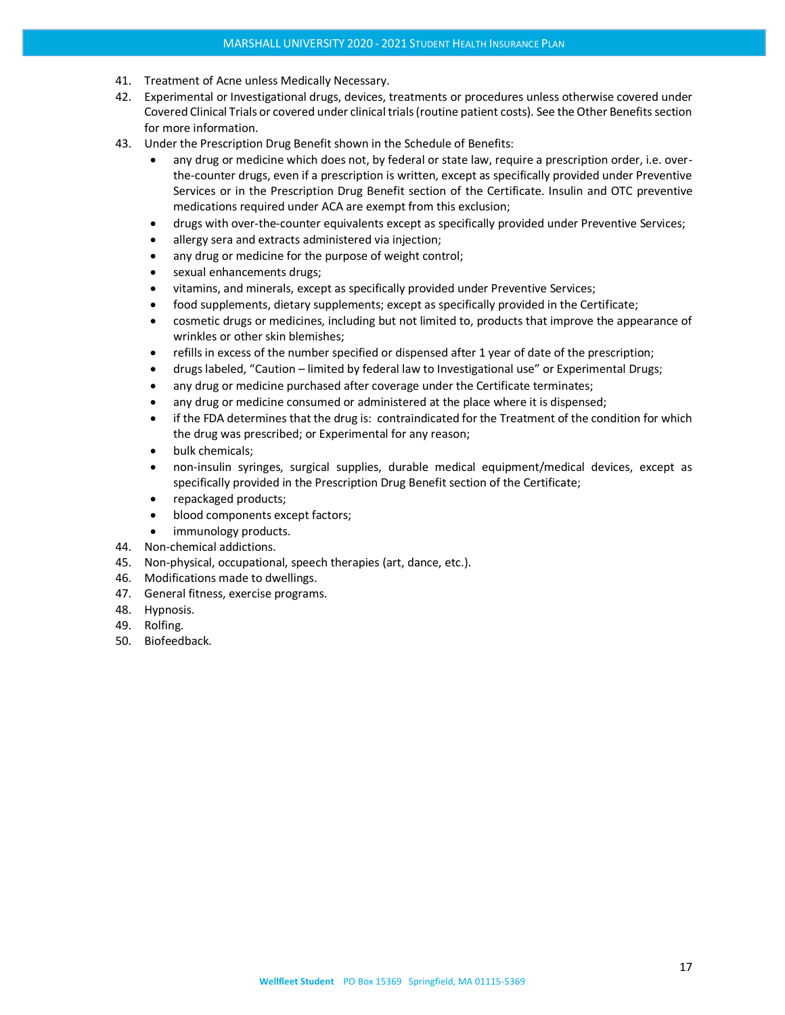- 41. Treatment of Acne unless Medically Necessary.
- 42. Experimental or Investigational drugs, devices, treatments or procedures unless otherwise covered under Covered Clinical Trials or covered under clinical trials (routine patient costs). See the Other Benefits section for more information.
- 43. Under the Prescription Drug Benefit shown in the Schedule of Benefits:
	- any drug or medicine which does not, by federal or state law, require a prescription order, i.e. overthe-counter drugs, even if a prescription is written, except as specifically provided under Preventive Services or in the Prescription Drug Benefit section of the Certificate. Insulin and OTC preventive medications required under ACA are exempt from this exclusion;
	- drugs with over-the-counter equivalents except as specifically provided under Preventive Services;
	- allergy sera and extracts administered via injection;
	- any drug or medicine for the purpose of weight control;
	- sexual enhancements drugs;
	- vitamins, and minerals, except as specifically provided under Preventive Services;
	- food supplements, dietary supplements; except as specifically provided in the Certificate;
	- cosmetic drugs or medicines, including but not limited to, products that improve the appearance of wrinkles or other skin blemishes;
	- refills in excess of the number specified or dispensed after 1 year of date of the prescription;
	- drugs labeled, "Caution limited by federal law to Investigational use" or Experimental Drugs;
	- any drug or medicine purchased after coverage under the Certificate terminates;
	- any drug or medicine consumed or administered at the place where it is dispensed;
	- if the FDA determines that the drug is: contraindicated for the Treatment of the condition for which the drug was prescribed; or Experimental for any reason;
	- bulk chemicals;
	- non-insulin syringes, surgical supplies, durable medical equipment/medical devices, except as specifically provided in the Prescription Drug Benefit section of the Certificate;
	- repackaged products;
	- blood components except factors;
	- immunology products.
- 44. Non-chemical addictions.
- 45. Non-physical, occupational, speech therapies (art, dance, etc.).
- 46. Modifications made to dwellings.
- 47. General fitness, exercise programs.
- 48. Hypnosis.
- 49. Rolfing.
- 50. Biofeedback.